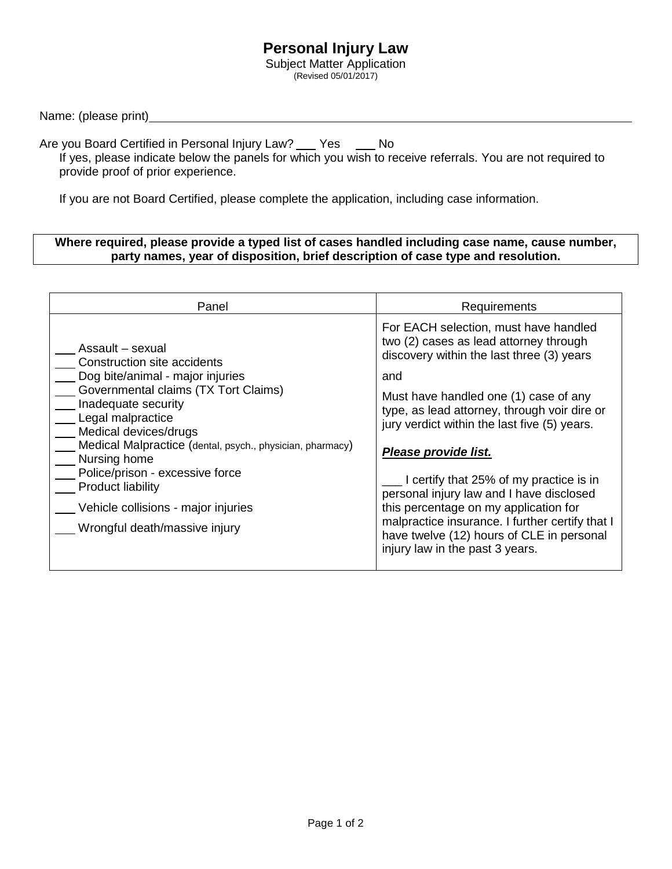## **Personal Injury Law**

Subject Matter Application (Revised 05/01/2017)

Name: (please print)

Are you Board Certified in Personal Injury Law? \_\_\_ Yes \_\_\_\_ No

If yes, please indicate below the panels for which you wish to receive referrals. You are not required to provide proof of prior experience.

If you are not Board Certified, please complete the application, including case information.

## **Where required, please provide a typed list of cases handled including case name, cause number, party names, year of disposition, brief description of case type and resolution.**

| Panel                                                                                                                                                                                                                                                                                                                                                                                                                | Requirements                                                                                                                                                                                                                                                                                                                                                                                                                                                                                                                                                            |
|----------------------------------------------------------------------------------------------------------------------------------------------------------------------------------------------------------------------------------------------------------------------------------------------------------------------------------------------------------------------------------------------------------------------|-------------------------------------------------------------------------------------------------------------------------------------------------------------------------------------------------------------------------------------------------------------------------------------------------------------------------------------------------------------------------------------------------------------------------------------------------------------------------------------------------------------------------------------------------------------------------|
| Assault – sexual<br>Construction site accidents<br>Dog bite/animal - major injuries<br>Governmental claims (TX Tort Claims)<br>Inadequate security<br>Legal malpractice<br>Medical devices/drugs<br>Medical Malpractice (dental, psych., physician, pharmacy)<br>Nursing home<br>Police/prison - excessive force<br><b>Product liability</b><br>Vehicle collisions - major injuries<br>Wrongful death/massive injury | For EACH selection, must have handled<br>two (2) cases as lead attorney through<br>discovery within the last three (3) years<br>and<br>Must have handled one (1) case of any<br>type, as lead attorney, through voir dire or<br>jury verdict within the last five (5) years.<br>Please provide list.<br>I certify that 25% of my practice is in<br>personal injury law and I have disclosed<br>this percentage on my application for<br>malpractice insurance. I further certify that I<br>have twelve (12) hours of CLE in personal<br>injury law in the past 3 years. |